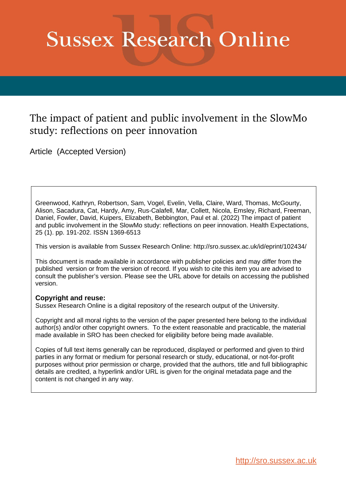# **Sussex Research Online**

### The impact of patient and public involvement in the SlowMo study: reflections on peer innovation

Article (Accepted Version)

Greenwood, Kathryn, Robertson, Sam, Vogel, Evelin, Vella, Claire, Ward, Thomas, McGourty, Alison, Sacadura, Cat, Hardy, Amy, Rus-Calafell, Mar, Collett, Nicola, Emsley, Richard, Freeman, Daniel, Fowler, David, Kuipers, Elizabeth, Bebbington, Paul et al. (2022) The impact of patient and public involvement in the SlowMo study: reflections on peer innovation. Health Expectations, 25 (1). pp. 191-202. ISSN 1369-6513

This version is available from Sussex Research Online: http://sro.sussex.ac.uk/id/eprint/102434/

This document is made available in accordance with publisher policies and may differ from the published version or from the version of record. If you wish to cite this item you are advised to consult the publisher's version. Please see the URL above for details on accessing the published version.

#### **Copyright and reuse:**

Sussex Research Online is a digital repository of the research output of the University.

Copyright and all moral rights to the version of the paper presented here belong to the individual author(s) and/or other copyright owners. To the extent reasonable and practicable, the material made available in SRO has been checked for eligibility before being made available.

Copies of full text items generally can be reproduced, displayed or performed and given to third parties in any format or medium for personal research or study, educational, or not-for-profit purposes without prior permission or charge, provided that the authors, title and full bibliographic details are credited, a hyperlink and/or URL is given for the original metadata page and the content is not changed in any way.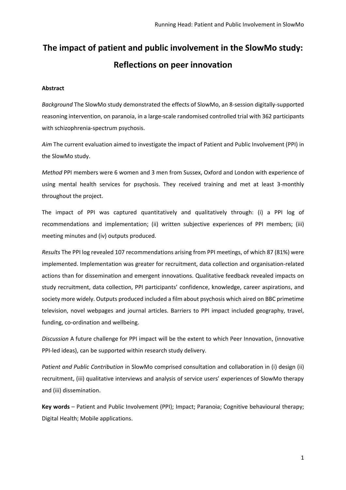## **The impact of patient and public involvement in the SlowMo study: Reflections on peer innovation**

#### **Abstract**

*Background* The SlowMo study demonstrated the effects of SlowMo, an 8-session digitally-supported reasoning intervention, on paranoia, in a large-scale randomised controlled trial with 362 participants with schizophrenia-spectrum psychosis.

*Aim* The current evaluation aimed to investigate the impact of Patient and Public Involvement (PPI) in the SlowMo study.

*Method* PPI members were 6 women and 3 men from Sussex, Oxford and London with experience of using mental health services for psychosis. They received training and met at least 3-monthly throughout the project.

The impact of PPI was captured quantitatively and qualitatively through: (i) a PPI log of recommendations and implementation; (ii) written subjective experiences of PPI members; (iii) meeting minutes and (iv) outputs produced.

*Results* The PPI log revealed 107 recommendations arising from PPI meetings, of which 87 (81%) were implemented. Implementation was greater for recruitment, data collection and organisation-related actions than for dissemination and emergent innovations. Qualitative feedback revealed impacts on study recruitment, data collection, PPI participants' confidence, knowledge, career aspirations, and society more widely. Outputs produced included a film about psychosis which aired on BBC primetime television, novel webpages and journal articles. Barriers to PPI impact included geography, travel, funding, co-ordination and wellbeing.

*Discussion* A future challenge for PPI impact will be the extent to which Peer Innovation, (innovative PPI-led ideas), can be supported within research study delivery.

*Patient and Public Contribution* in SlowMo comprised consultation and collaboration in (i) design (ii) recruitment, (iii) qualitative interviews and analysis of service users' experiences of SlowMo therapy and (iii) dissemination.

**Key words** – Patient and Public Involvement (PPI); Impact; Paranoia; Cognitive behavioural therapy; Digital Health; Mobile applications.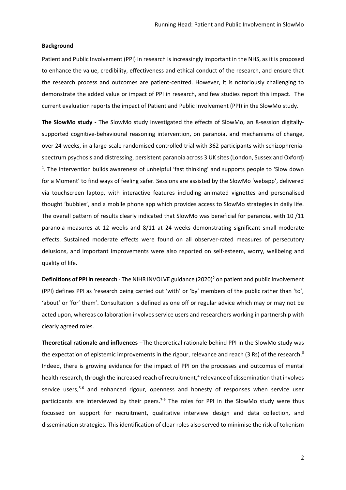#### **Background**

Patient and Public Involvement (PPI) in research is increasingly important in the NHS, as it is proposed to enhance the value, credibility, effectiveness and ethical conduct of the research, and ensure that the research process and outcomes are patient-centred. However, it is notoriously challenging to demonstrate the added value or impact of PPI in research, and few studies report this impact. The current evaluation reports the impact of Patient and Public Involvement (PPI) in the SlowMo study.

**The SlowMo study -** The SlowMo study investigated the effects of SlowMo, an 8-session digitallysupported cognitive-behavioural reasoning intervention, on paranoia, and mechanisms of change, over 24 weeks, in a large-scale randomised controlled trial with 362 participants with schizophreniaspectrum psychosis and distressing, persistent paranoia across 3 UK sites (London, Sussex and Oxford) <sup>1</sup>. The intervention builds awareness of unhelpful 'fast thinking' and supports people to 'Slow down for a Moment' to find ways of feeling safer. Sessions are assisted by the SlowMo 'webapp', delivered via touchscreen laptop, with interactive features including animated vignettes and personalised thought 'bubbles', and a mobile phone app which provides access to SlowMo strategies in daily life. The overall pattern of results clearly indicated that SlowMo was beneficial for paranoia, with 10 /11 paranoia measures at 12 weeks and 8/11 at 24 weeks demonstrating significant small-moderate effects. Sustained moderate effects were found on all observer-rated measures of persecutory delusions, and important improvements were also reported on self-esteem, worry, wellbeing and quality of life.

**Definitions of PPI in research** - The NIHR INVOLVE guidance (2020)<sup>2</sup> on patient and public involvement (PPI) defines PPI as 'research being carried out 'with' or 'by' members of the public rather than 'to', 'about' or 'for' them'. Consultation is defined as one off or regular advice which may or may not be acted upon, whereas collaboration involves service users and researchers working in partnership with clearly agreed roles.

**Theoretical rationale and influences** –The theoretical rationale behind PPI in the SlowMo study was the expectation of epistemic improvements in the rigour, relevance and reach (3 Rs) of the research.<sup>3</sup> Indeed, there is growing evidence for the impact of PPI on the processes and outcomes of mental health research, through the increased reach of recruitment,<sup>4</sup> relevance of dissemination that involves service users,<sup>5-6</sup> and enhanced rigour, openness and honesty of responses when service user participants are interviewed by their peers.<sup>7-9</sup> The roles for PPI in the SlowMo study were thus focussed on support for recruitment, qualitative interview design and data collection, and dissemination strategies. This identification of clear roles also served to minimise the risk of tokenism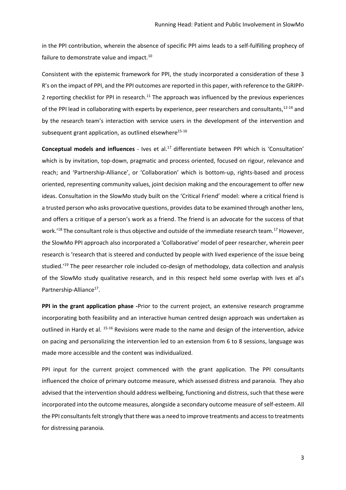in the PPI contribution, wherein the absence of specific PPI aims leads to a self-fulfilling prophecy of failure to demonstrate value and impact.<sup>10</sup>

Consistent with the epistemic framework for PPI, the study incorporated a consideration of these 3 R's on the impact of PPI, and the PPI outcomes are reported in this paper, with reference to the GRIPP-2 reporting checklist for PPI in research.<sup>11</sup> The approach was influenced by the previous experiences of the PPI lead in collaborating with experts by experience, peer researchers and consultants, 12-14 and by the research team's interaction with service users in the development of the intervention and subsequent grant application, as outlined elsewhere<sup>15-16</sup>

**Conceptual models and influences** - Ives et al.<sup>17</sup> differentiate between PPI which is 'Consultation' which is by invitation, top-down, pragmatic and process oriented, focused on rigour, relevance and reach; and 'Partnership-Alliance', or 'Collaboration' which is bottom-up, rights-based and process oriented, representing community values, joint decision making and the encouragement to offer new ideas. Consultation in the SlowMo study built on the 'Critical Friend' model: where a critical friend is a trusted person who asks provocative questions, provides data to be examined through another lens, and offers a critique of a person's work as a friend. The friend is an advocate for the success of that work.<sup>'18</sup> The consultant role is thus objective and outside of the immediate research team.<sup>17</sup> However, the SlowMo PPI approach also incorporated a 'Collaborative' model of peer researcher, wherein peer research is 'research that is steered and conducted by people with lived experience of the issue being studied.'<sup>19</sup> The peer researcher role included co-design of methodology, data collection and analysis of the SlowMo study qualitative research, and in this respect held some overlap with Ives et al's Partnership-Alliance<sup>17</sup>.

**PPI in the grant application phase -**Prior to the current project, an extensive research programme incorporating both feasibility and an interactive human centred design approach was undertaken as outlined in Hardy et al. <sup>15-16</sup> Revisions were made to the name and design of the intervention, advice on pacing and personalizing the intervention led to an extension from 6 to 8 sessions, language was made more accessible and the content was individualized.

PPI input for the current project commenced with the grant application. The PPI consultants influenced the choice of primary outcome measure, which assessed distress and paranoia. They also advised that the intervention should address wellbeing, functioning and distress, such that these were incorporated into the outcome measures, alongside a secondary outcome measure of self-esteem. All the PPI consultants felt strongly that there was a need to improve treatments and access to treatments for distressing paranoia.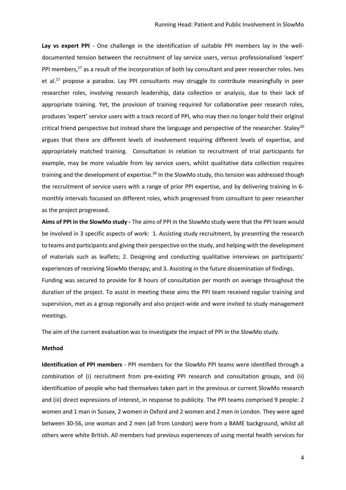Lay vs expert PPI - One challenge in the identification of suitable PPI members lay in the welldocumented tension between the recruitment of lay service users, versus professionalised 'expert' PPI members,<sup>17</sup> as a result of the incorporation of both lay consultant and peer researcher roles. Ives et al.<sup>17</sup> propose a paradox. Lay PPI consultants may struggle to contribute meaningfully in peer researcher roles, involving research leadership, data collection or analysis, due to their lack of appropriate training. Yet, the provision of training required for collaborative peer research roles, produces 'expert' service users with a track record of PPI, who may then no longer hold their original critical friend perspective but instead share the language and perspective of the researcher. Staley<sup>20</sup> argues that there are different levels of involvement requiring different levels of expertise, and appropriately matched training. Consultation in relation to recruitment of trial participants for example, may be more valuable from lay service users, whilst qualitative data collection requires training and the development of expertise.<sup>20</sup> In the SlowMo study, this tension was addressed though the recruitment of service users with a range of prior PPI expertise, and by delivering training in 6 monthly intervals focussed on different roles, which progressed from consultant to peer researcher as the project progressed.

**Aims of PPI in the SlowMo study -** The aims of PPI in the SlowMo study were that the PPI team would be involved in 3 specific aspects of work: 1. Assisting study recruitment, by presenting the research to teams and participants and giving their perspective on the study, and helping with the development of materials such as leaflets; 2. Designing and conducting qualitative interviews on participants' experiences of receiving SlowMo therapy; and 3. Assisting in the future dissemination of findings. Funding was secured to provide for 8 hours of consultation per month on average throughout the duration of the project. To assist in meeting these aims the PPI team received regular training and supervision, met as a group regionally and also project-wide and were invited to study management meetings.

The aim of the current evaluation was to investigate the impact of PPI in the SlowMo study.

#### **Method**

**Identification of PPI members** - PPI members for the SlowMo PPI teams were identified through a combination of (i) recruitment from pre-existing PPI research and consultation groups, and (ii) identification of people who had themselves taken part in the previous or current SlowMo research and (iii) direct expressions of interest, in response to publicity. The PPI teams comprised 9 people: 2 women and 1 man in Sussex, 2 women in Oxford and 2 women and 2 men in London. They were aged between 30-56, one woman and 2 men (all from London) were from a BAME background, whilst all others were white British. All members had previous experiences of using mental health services for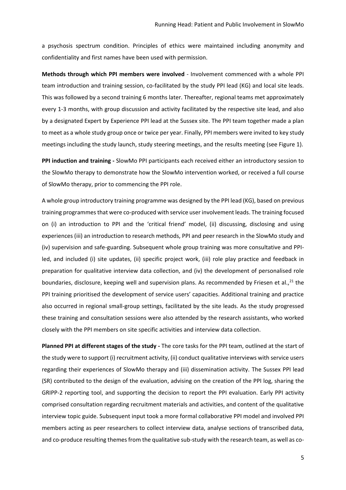a psychosis spectrum condition. Principles of ethics were maintained including anonymity and confidentiality and first names have been used with permission.

**Methods through which PPI members were involved** - Involvement commenced with a whole PPI team introduction and training session, co-facilitated by the study PPI lead (KG) and local site leads. This was followed by a second training 6 months later. Thereafter, regional teams met approximately every 1-3 months, with group discussion and activity facilitated by the respective site lead, and also by a designated Expert by Experience PPI lead at the Sussex site. The PPI team together made a plan to meet as a whole study group once or twice per year. Finally, PPI members were invited to key study meetings including the study launch, study steering meetings, and the results meeting (see Figure 1).

**PPI induction and training -** SlowMo PPI participants each received either an introductory session to the SlowMo therapy to demonstrate how the SlowMo intervention worked, or received a full course of SlowMo therapy, prior to commencing the PPI role.

A whole group introductory training programme was designed by the PPI lead (KG), based on previous training programmes that were co-produced with service user involvement leads. The training focused on (i) an introduction to PPI and the 'critical friend' model, (ii) discussing, disclosing and using experiences (iii) an introduction to research methods, PPI and peer research in the SlowMo study and (iv) supervision and safe-guarding. Subsequent whole group training was more consultative and PPIled, and included (i) site updates, (ii) specific project work, (iii) role play practice and feedback in preparation for qualitative interview data collection, and (iv) the development of personalised role boundaries, disclosure, keeping well and supervision plans. As recommended by Friesen et al.,  $^{21}$  the PPI training prioritised the development of service users' capacities. Additional training and practice also occurred in regional small-group settings, facilitated by the site leads. As the study progressed these training and consultation sessions were also attended by the research assistants, who worked closely with the PPI members on site specific activities and interview data collection.

**Planned PPI at different stages of the study -** The core tasks for the PPI team, outlined at the start of the study were to support (i) recruitment activity, (ii) conduct qualitative interviews with service users regarding their experiences of SlowMo therapy and (iii) dissemination activity. The Sussex PPI lead (SR) contributed to the design of the evaluation, advising on the creation of the PPI log, sharing the GRIPP-2 reporting tool, and supporting the decision to report the PPI evaluation. Early PPI activity comprised consultation regarding recruitment materials and activities, and content of the qualitative interview topic guide. Subsequent input took a more formal collaborative PPI model and involved PPI members acting as peer researchers to collect interview data, analyse sections of transcribed data, and co-produce resulting themes from the qualitative sub-study with the research team, as well as co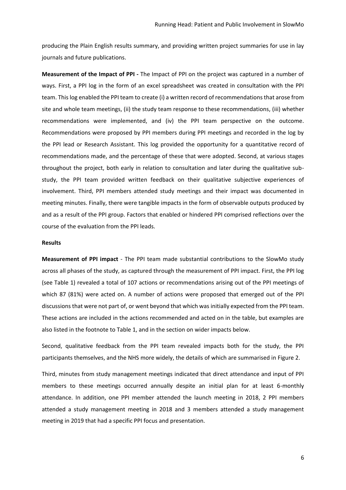producing the Plain English results summary, and providing written project summaries for use in lay journals and future publications.

**Measurement of the Impact of PPI -** The Impact of PPI on the project was captured in a number of ways. First, a PPI log in the form of an excel spreadsheet was created in consultation with the PPI team. This log enabled the PPI team to create (i) a written record of recommendations that arose from site and whole team meetings, (ii) the study team response to these recommendations, (iii) whether recommendations were implemented, and (iv) the PPI team perspective on the outcome. Recommendations were proposed by PPI members during PPI meetings and recorded in the log by the PPI lead or Research Assistant. This log provided the opportunity for a quantitative record of recommendations made, and the percentage of these that were adopted. Second, at various stages throughout the project, both early in relation to consultation and later during the qualitative substudy, the PPI team provided written feedback on their qualitative subjective experiences of involvement. Third, PPI members attended study meetings and their impact was documented in meeting minutes. Finally, there were tangible impacts in the form of observable outputs produced by and as a result of the PPI group. Factors that enabled or hindered PPI comprised reflections over the course of the evaluation from the PPI leads.

#### **Results**

**Measurement of PPI impact** - The PPI team made substantial contributions to the SlowMo study across all phases of the study, as captured through the measurement of PPI impact. First, the PPI log (see Table 1) revealed a total of 107 actions or recommendations arising out of the PPI meetings of which 87 (81%) were acted on. A number of actions were proposed that emerged out of the PPI discussions that were not part of, or went beyond that which was initially expected from the PPI team. These actions are included in the actions recommended and acted on in the table, but examples are also listed in the footnote to Table 1, and in the section on wider impacts below.

Second, qualitative feedback from the PPI team revealed impacts both for the study, the PPI participants themselves, and the NHS more widely, the details of which are summarised in Figure 2.

Third, minutes from study management meetings indicated that direct attendance and input of PPI members to these meetings occurred annually despite an initial plan for at least 6-monthly attendance. In addition, one PPI member attended the launch meeting in 2018, 2 PPI members attended a study management meeting in 2018 and 3 members attended a study management meeting in 2019 that had a specific PPI focus and presentation.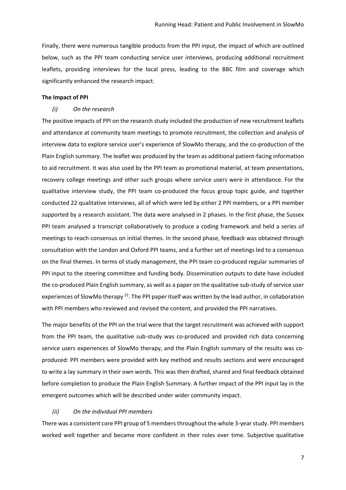Finally, there were numerous tangible products from the PPI input, the impact of which are outlined below, such as the PPI team conducting service user interviews, producing additional recruitment leaflets, providing interviews for the local press, leading to the BBC film and coverage which significantly enhanced the research impact.

#### **The Impact of PPI**

#### *(i) On the research*

The positive impacts of PPI on the research study included the production of new recruitment leaflets and attendance at community team meetings to promote recruitment, the collection and analysis of interview data to explore service user's experience of SlowMo therapy, and the co-production of the Plain English summary. The leaflet was produced by the team as additional patient-facing information to aid recruitment. It was also used by the PPI team as promotional material, at team presentations, recovery college meetings and other such groups where service users were in attendance. For the qualitative interview study, the PPI team co-produced the focus group topic guide, and together conducted 22 qualitative interviews, all of which were led by either 2 PPI members, or a PPI member supported by a research assistant. The data were analysed in 2 phases. In the first phase, the Sussex PPI team analysed a transcript collaboratively to produce a coding framework and held a series of meetings to reach consensus on initial themes. In the second phase, feedback was obtained through consultation with the London and Oxford PPI teams, and a further set of meetings led to a consensus on the final themes. In terms of study management, the PPI team co-produced regular summaries of PPI input to the steering committee and funding body. Dissemination outputs to date have included the co-produced Plain English summary, as well as a paper on the qualitative sub-study of service user experiences of SlowMo therapy<sup>22</sup>. The PPI paper itself was written by the lead author, in collaboration with PPI members who reviewed and revised the content, and provided the PPI narratives.

The major benefits of the PPI on the trial were that the target recruitment was achieved with support from the PPI team, the qualitative sub-study was co-produced and provided rich data concerning service users experiences of SlowMo therapy, and the Plain English summary of the results was coproduced: PPI members were provided with key method and results sections and were encouraged to write a lay summary in their own words. This was then drafted, shared and final feedback obtained before completion to produce the Plain English Summary. A further impact of the PPI input lay in the emergent outcomes which will be described under wider community impact.

#### *(ii) On the individual PPI members*

There was a consistent core PPI group of 5 members throughout the whole 3-year study. PPI members worked well together and became more confident in their roles over time. Subjective qualitative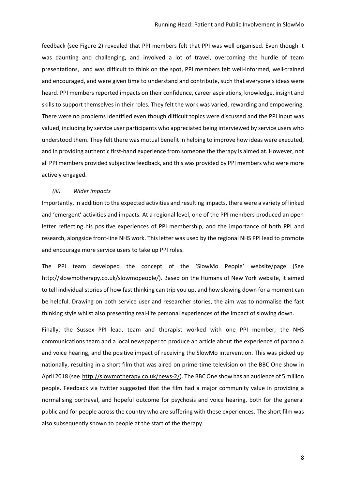feedback (see Figure 2) revealed that PPI members felt that PPI was well organised. Even though it was daunting and challenging, and involved a lot of travel, overcoming the hurdle of team presentations, and was difficult to think on the spot, PPI members felt well-informed, well-trained and encouraged, and were given time to understand and contribute, such that everyone's ideas were heard. PPI members reported impacts on their confidence, career aspirations, knowledge, insight and skills to support themselves in their roles. They felt the work was varied, rewarding and empowering. There were no problems identified even though difficult topics were discussed and the PPI input was valued, including by service user participants who appreciated being interviewed by service users who understood them. They felt there was mutual benefit in helping to improve how ideas were executed, and in providing authentic first-hand experience from someone the therapy is aimed at. However, not all PPI members provided subjective feedback, and this was provided by PPI members who were more actively engaged.

#### *(iii) Wider impacts*

Importantly, in addition to the expected activities and resulting impacts, there were a variety of linked and 'emergent' activities and impacts. At a regional level, one of the PPI members produced an open letter reflecting his positive experiences of PPI membership, and the importance of both PPI and research, alongside front-line NHS work. This letter was used by the regional NHS PPI lead to promote and encourage more service users to take up PPI roles.

The PPI team developed the concept of the 'SlowMo People' website/page (See [http://slowmotherapy.co.uk/slowmopeople/\)](http://slowmotherapy.co.uk/slowmopeople/). Based on the Humans of New York website, it aimed to tell individual stories of how fast thinking can trip you up, and how slowing down for a moment can be helpful. Drawing on both service user and researcher stories, the aim was to normalise the fast thinking style whilst also presenting real-life personal experiences of the impact of slowing down.

Finally, the Sussex PPI lead, team and therapist worked with one PPI member, the NHS communications team and a local newspaper to produce an article about the experience of paranoia and voice hearing, and the positive impact of receiving the SlowMo intervention. This was picked up nationally, resulting in a short film that was aired on prime-time television on the BBC One show in April 2018 (see [http://slowmotherapy.co.uk/news-2/\)](http://slowmotherapy.co.uk/news-2/). The BBC One show has an audience of 5 million people. Feedback via twitter suggested that the film had a major community value in providing a normalising portrayal, and hopeful outcome for psychosis and voice hearing, both for the general public and for people across the country who are suffering with these experiences. The short film was also subsequently shown to people at the start of the therapy.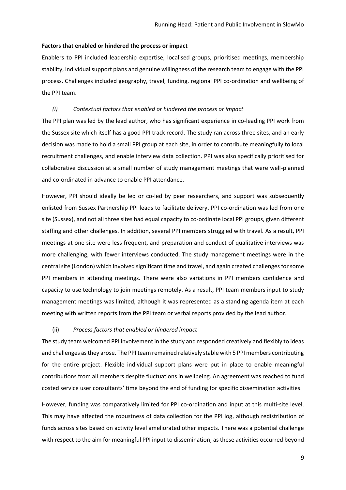#### **Factors that enabled or hindered the process or impact**

Enablers to PPI included leadership expertise, localised groups, prioritised meetings, membership stability, individual support plans and genuine willingness of the research team to engage with the PPI process. Challenges included geography, travel, funding, regional PPI co-ordination and wellbeing of the PPI team.

#### *(i) Contextual factors that enabled or hindered the process or impact*

The PPI plan was led by the lead author, who has significant experience in co-leading PPI work from the Sussex site which itself has a good PPI track record. The study ran across three sites, and an early decision was made to hold a small PPI group at each site, in order to contribute meaningfully to local recruitment challenges, and enable interview data collection. PPI was also specifically prioritised for collaborative discussion at a small number of study management meetings that were well-planned and co-ordinated in advance to enable PPI attendance.

However, PPI should ideally be led or co-led by peer researchers, and support was subsequently enlisted from Sussex Partnership PPI leads to facilitate delivery. PPI co-ordination was led from one site (Sussex), and not all three sites had equal capacity to co-ordinate local PPI groups, given different staffing and other challenges. In addition, several PPI members struggled with travel. As a result, PPI meetings at one site were less frequent, and preparation and conduct of qualitative interviews was more challenging, with fewer interviews conducted. The study management meetings were in the central site (London) which involved significant time and travel, and again created challenges for some PPI members in attending meetings. There were also variations in PPI members confidence and capacity to use technology to join meetings remotely. As a result, PPI team members input to study management meetings was limited, although it was represented as a standing agenda item at each meeting with written reports from the PPI team or verbal reports provided by the lead author.

#### (ii) *Process factors that enabled or hindered impact*

The study team welcomed PPI involvement in the study and responded creatively and flexibly to ideas and challenges as they arose. The PPI team remained relatively stable with 5 PPI members contributing for the entire project. Flexible individual support plans were put in place to enable meaningful contributions from all members despite fluctuations in wellbeing. An agreement was reached to fund costed service user consultants' time beyond the end of funding for specific dissemination activities.

However, funding was comparatively limited for PPI co-ordination and input at this multi-site level. This may have affected the robustness of data collection for the PPI log, although redistribution of funds across sites based on activity level ameliorated other impacts. There was a potential challenge with respect to the aim for meaningful PPI input to dissemination, as these activities occurred beyond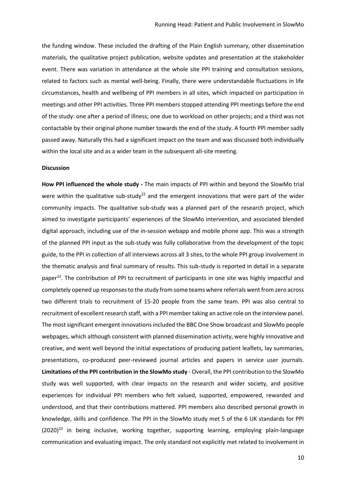the funding window. These included the drafting of the Plain English summary, other dissemination materials, the qualitative project publication, website updates and presentation at the stakeholder event. There was variation in attendance at the whole site PPI training and consultation sessions, related to factors such as mental well-being. Finally, there were understandable fluctuations in life circumstances, health and wellbeing of PPI members in all sites, which impacted on participation in meetings and other PPI activities. Three PPI members stopped attending PPI meetings before the end of the study: one after a period of illness; one due to workload on other projects; and a third was not contactable by their original phone number towards the end of the study. A fourth PPI member sadly passed away. Naturally this had a significant impact on the team and was discussed both individually within the local site and as a wider team in the subsequent all-site meeting.

#### **Discussion**

**How PPI influenced the whole study -** The main impacts of PPI within and beyond the SlowMo trial were within the qualitative sub-study<sup>22</sup> and the emergent innovations that were part of the wider community impacts. The qualitative sub-study was a planned part of the research project, which aimed to investigate participants' experiences of the SlowMo intervention, and associated blended digital approach, including use of the in-session webapp and mobile phone app. This was a strength of the planned PPI input as the sub-study was fully collaborative from the development of the topic guide, to the PPI in collection of all interviews across all 3 sites, to the whole PPI group involvement in the thematic analysis and final summary of results. This sub-study is reported in detail in a separate paper<sup>22</sup>. The contribution of PPI to recruitment of participants in one site was highly impactful and completely opened up responses to the study from some teams where referrals went from zero across two different trials to recruitment of 15-20 people from the same team. PPI was also central to recruitment of excellent research staff, with a PPI member taking an active role on the interview panel. The most significant emergent innovations included the BBC One Show broadcast and SlowMo people webpages, which although consistent with planned dissemination activity, were highly innovative and creative, and went well beyond the initial expectations of producing patient leaflets, lay summaries, presentations, co-produced peer-reviewed journal articles and papers in service user journals. **Limitations of the PPI contribution in the SlowMo study** - Overall, the PPI contribution to the SlowMo study was well supported, with clear impacts on the research and wider society, and positive experiences for individual PPI members who felt valued, supported, empowered, rewarded and understood, and that their contributions mattered. PPI members also described personal growth in knowledge, skills and confidence. The PPI in the SlowMo study met 5 of the 6 UK standards for PPI  $(2020)^{23}$  in being inclusive, working together, supporting learning, employing plain-language communication and evaluating impact. The only standard not explicitly met related to involvement in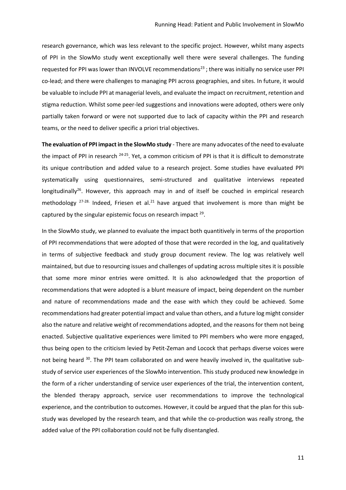research governance, which was less relevant to the specific project. However, whilst many aspects of PPI in the SlowMo study went exceptionally well there were several challenges. The funding requested for PPI was lower than INVOLVE recommendations<sup>23</sup>; there was initially no service user PPI co-lead; and there were challenges to managing PPI across geographies, and sites. In future, it would be valuable to include PPI at managerial levels, and evaluate the impact on recruitment, retention and stigma reduction. Whilst some peer-led suggestions and innovations were adopted, others were only partially taken forward or were not supported due to lack of capacity within the PPI and research teams, or the need to deliver specific a priori trial objectives.

**The evaluation of PPI impact in the SlowMo study** - There are many advocates of the need to evaluate the impact of PPI in research <sup>24-25</sup>. Yet, a common criticism of PPI is that it is difficult to demonstrate its unique contribution and added value to a research project. Some studies have evaluated PPI systematically using questionnaires, semi-structured and qualitative interviews repeated longitudinally<sup>26</sup>. However, this approach may in and of itself be couched in empirical research methodology  $27-28$ . Indeed, Friesen et al.<sup>21</sup> have argued that involvement is more than might be captured by the singular epistemic focus on research impact  $29$ .

In the SlowMo study, we planned to evaluate the impact both quantitively in terms of the proportion of PPI recommendations that were adopted of those that were recorded in the log, and qualitatively in terms of subjective feedback and study group document review. The log was relatively well maintained, but due to resourcing issues and challenges of updating across multiple sites it is possible that some more minor entries were omitted. It is also acknowledged that the proportion of recommendations that were adopted is a blunt measure of impact, being dependent on the number and nature of recommendations made and the ease with which they could be achieved. Some recommendations had greater potential impact and value than others, and a future log might consider also the nature and relative weight of recommendations adopted, and the reasons for them not being enacted. Subjective qualitative experiences were limited to PPI members who were more engaged, thus being open to the criticism levied by Petit-Zeman and Locock that perhaps diverse voices were not being heard <sup>30</sup>. The PPI team collaborated on and were heavily involved in, the qualitative substudy of service user experiences of the SlowMo intervention. This study produced new knowledge in the form of a richer understanding of service user experiences of the trial, the intervention content, the blended therapy approach, service user recommendations to improve the technological experience, and the contribution to outcomes. However, it could be argued that the plan for this substudy was developed by the research team, and that while the co-production was really strong, the added value of the PPI collaboration could not be fully disentangled.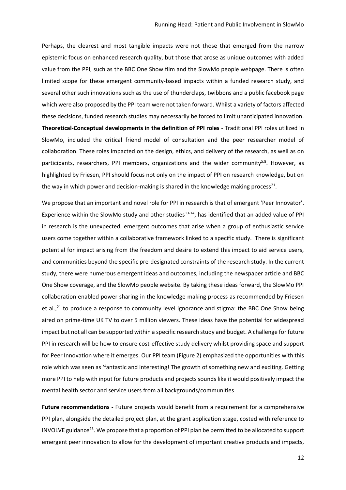Perhaps, the clearest and most tangible impacts were not those that emerged from the narrow epistemic focus on enhanced research quality, but those that arose as unique outcomes with added value from the PPI, such as the BBC One Show film and the SlowMo people webpage. There is often limited scope for these emergent community-based impacts within a funded research study, and several other such innovations such as the use of thunderclaps, twibbons and a public facebook page which were also proposed by the PPI team were not taken forward. Whilst a variety of factors affected these decisions, funded research studies may necessarily be forced to limit unanticipated innovation. **Theoretical-Conceptual developments in the definition of PPI roles** - Traditional PPI roles utilized in SlowMo, included the critical friend model of consultation and the peer researcher model of collaboration. These roles impacted on the design, ethics, and delivery of the research, as well as on participants, researchers, PPI members, organizations and the wider community<sup>5,8</sup>. However, as highlighted by Friesen, PPI should focus not only on the impact of PPI on research knowledge, but on the way in which power and decision-making is shared in the knowledge making process<sup>21</sup>.

We propose that an important and novel role for PPI in research is that of emergent 'Peer Innovator'. Experience within the SlowMo study and other studies<sup>13-14</sup>, has identified that an added value of PPI in research is the unexpected, emergent outcomes that arise when a group of enthusiastic service users come together within a collaborative framework linked to a specific study. There is significant potential for impact arising from the freedom and desire to extend this impact to aid service users, and communities beyond the specific pre-designated constraints of the research study. In the current study, there were numerous emergent ideas and outcomes, including the newspaper article and BBC One Show coverage, and the SlowMo people website. By taking these ideas forward, the SlowMo PPI collaboration enabled power sharing in the knowledge making process as recommended by Friesen et al., $^{21}$  to produce a response to community level ignorance and stigma: the BBC One Show being aired on prime-time UK TV to over 5 million viewers. These ideas have the potential for widespread impact but not all can be supported within a specific research study and budget. A challenge for future PPI in research will be how to ensure cost-effective study delivery whilst providing space and support for Peer Innovation where it emerges. Our PPI team (Figure 2) emphasized the opportunities with this role which was seen as 'fantastic and interesting! The growth of something new and exciting. Getting more PPI to help with input for future products and projects sounds like it would positively impact the mental health sector and service users from all backgrounds/communities

**Future recommendations -** Future projects would benefit from a requirement for a comprehensive PPI plan, alongside the detailed project plan, at the grant application stage, costed with reference to INVOLVE guidance<sup>23</sup>. We propose that a proportion of PPI plan be permitted to be allocated to support emergent peer innovation to allow for the development of important creative products and impacts,

12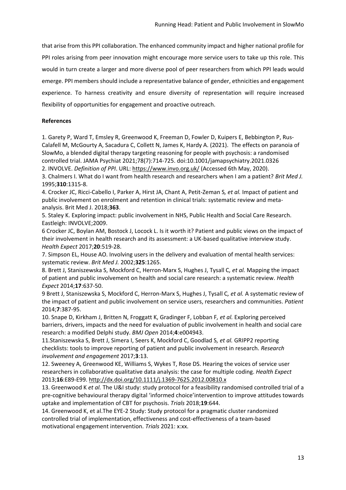that arise from this PPI collaboration. The enhanced community impact and higher national profile for PPI roles arising from peer innovation might encourage more service users to take up this role. This would in turn create a larger and more diverse pool of peer researchers from which PPI leads would emerge. PPI members should include a representative balance of gender, ethnicities and engagement experience. To harness creativity and ensure diversity of representation will require increased flexibility of opportunities for engagement and proactive outreach.

#### **References**

1. Garety P, Ward T, Emsley R, Greenwood K, Freeman D, Fowler D, Kuipers E, Bebbington P, Rus-Calafell M, McGourty A, Sacadura C, Collett N, James K, Hardy A. (2021). The effects on paranoia of SlowMo, a blended digital therapy targeting reasoning for people with psychosis: a randomised controlled trial. JAMA Psychiat 2021;78(7):714-725. doi:10.1001/jamapsychiatry.2021.0326 2. INVOLVE. *Definition of PPI*. URL:<https://www.invo.org.uk/> (Accessed 6th May, 2020).

3. Chalmers I. What do I want from health research and researchers when I am a patient? *Brit Med J.*  1995;**310**:1315-8.

4. Crocker JC, Ricci-Cabello I, Parker A, Hirst JA, Chant A, Petit-Zeman S*, et al.* Impact of patient and public involvement on enrolment and retention in clinical trials: systematic review and metaanalysis. Brit Med J. 2018;**363**.

5. Staley K. Exploring impact: public involvement in NHS, Public Health and Social Care Research. Eastleigh: INVOLVE;2009.

6 Crocker JC, Boylan AM, Bostock J, Locock L. Is it worth it? Patient and public views on the impact of their involvement in health research and its assessment: a UK‐based qualitative interview study. *Health Expect* 2017;**20**:519-28.

7. Simpson EL, House AO. Involving users in the delivery and evaluation of mental health services: systematic review. *Brit Med J.* 2002;**325**:1265.

8. Brett J, Staniszewska S, Mockford C, Herron‐Marx S, Hughes J, Tysall C*, et al.* Mapping the impact of patient and public involvement on health and social care research: a systematic review. *Health Expect* 2014;**17**:637-50.

9 Brett J, Staniszewska S, Mockford C, Herron-Marx S, Hughes J, Tysall C*, et al.* A systematic review of the impact of patient and public involvement on service users, researchers and communities. *Patient* 2014;**7**:387-95.

10. Snape D, Kirkham J, Britten N, Froggatt K, Gradinger F, Lobban F*, et al.* Exploring perceived barriers, drivers, impacts and the need for evaluation of public involvement in health and social care research: a modified Delphi study. *BMJ Open* 2014;**4**:e004943.

11.Staniszewska S, Brett J, Simera I, Seers K, Mockford C, Goodlad S*, et al.* GRIPP2 reporting checklists: tools to improve reporting of patient and public involvement in research. *Research involvement and engagement* 2017;**3**:13.

12. Sweeney A, Greenwood KE, Williams S, Wykes T, Rose DS. Hearing the voices of service user researchers in collaborative qualitative data analysis: the case for multiple coding. *Health Expect* 2013;**16**:E89-E99.<http://dx.doi.org/10.1111/j.1369-7625.2012.00810.x>

13. Greenwood K *et al.* The U&I study: study protocol for a feasibility randomised controlled trial of a pre-cognitive behavioural therapy digital 'informed choice'intervention to improve attitudes towards uptake and implementation of CBT for psychosis. *Trials* 2018;**19**:644.

14. Greenwood K, et al.The EYE-2 Study: Study protocol for a pragmatic cluster randomized controlled trial of implementation, effectiveness and cost-effectiveness of a team-based motivational engagement intervention. *Trials* 2021: x:xx.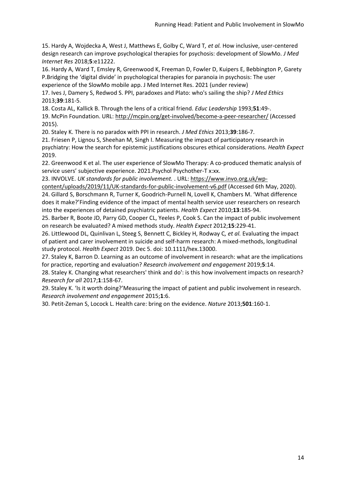15. Hardy A, Wojdecka A, West J, Matthews E, Golby C, Ward T*, et al.* How inclusive, user-centered design research can improve psychological therapies for psychosis: development of SlowMo. *J Med Internet Res* 2018;**5**:e11222.

16. Hardy A, Ward T, Emsley R, Greenwood K, Freeman D, Fowler D, Kuipers E, Bebbington P, Garety P.Bridging the 'digital divide' in psychological therapies for paranoia in psychosis: The user

experience of the SlowMo mobile app. J Med Internet Res. 2021 (under review)

17. Ives J, Damery S, Redwod S. PPI, paradoxes and Plato: who's sailing the ship? *J Med Ethics* 2013;**39**:181-5.

18. Costa AL, Kallick B. Through the lens of a critical friend. *Educ Leadership* 1993;**51**:49-.

19. McPin Foundation. URL:<http://mcpin.org/get-involved/become-a-peer-researcher/> (Accessed 2015).

20. Staley K. There is no paradox with PPI in research. *J Med Ethics* 2013;**39**:186-7.

21. Friesen P, Lignou S, Sheehan M, Singh I. Measuring the impact of participatory research in psychiatry: How the search for epistemic justifications obscures ethical considerations. *Health Expect* 2019.

22. Greenwood K et al. The user experience of SlowMo Therapy: A co-produced thematic analysis of service users' subjective experience. 2021.Psychol Psychother-T x:xx.

23. INVOLVE. *UK standards for public involvement.* . URL: [https://www.invo.org.uk/wp-](https://www.invo.org.uk/wp-content/uploads/2019/11/UK-standards-for-public-involvement-v6.pdf)

[content/uploads/2019/11/UK-standards-for-public-involvement-v6.pdf](https://www.invo.org.uk/wp-content/uploads/2019/11/UK-standards-for-public-involvement-v6.pdf) (Accessed 6th May, 2020). 24. Gillard S, Borschmann R, Turner K, Goodrich‐Purnell N, Lovell K, Chambers M. 'What difference does it make?'Finding evidence of the impact of mental health service user researchers on research into the experiences of detained psychiatric patients. *Health Expect* 2010;**13**:185-94.

25. Barber R, Boote JD, Parry GD, Cooper CL, Yeeles P, Cook S. Can the impact of public involvement on research be evaluated? A mixed methods study. *Health Expect* 2012;**15**:229-41.

26. Littlewood DL, Quinlivan L, Steeg S, Bennett C, Bickley H, Rodway C*, et al.* Evaluating the impact of patient and carer involvement in suicide and self‐harm research: A mixed‐methods, longitudinal study protocol. *Health Expect* 2019. Dec 5. doi: 10.1111/hex.13000.

27. Staley K, Barron D. Learning as an outcome of involvement in research: what are the implications for practice, reporting and evaluation? *Research involvement and engagement* 2019;**5**:14.

28. Staley K. Changing what researchers' think and do': is this how involvement impacts on research? *Research for all* 2017;**1**:158-67.

29. Staley K. 'Is it worth doing?'Measuring the impact of patient and public involvement in research. *Research involvement and engagement* 2015;**1**:6.

30. Petit-Zeman S, Locock L. Health care: bring on the evidence. *Nature* 2013;**501**:160-1.